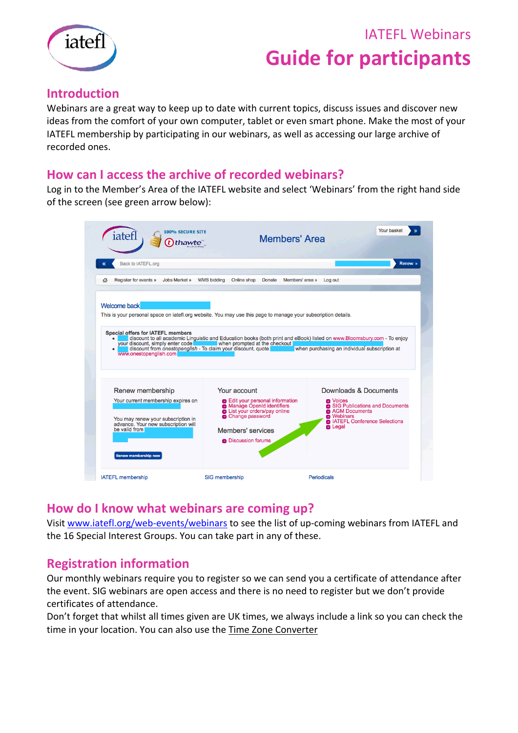# IATEFL Webinars **Guide for participants**



### **Introduction**

Webinars are a great way to keep up to date with current topics, discuss issues and discover new ideas from the comfort of your own computer, tablet or even smart phone. Make the most of your IATEFL membership by participating in our webinars, as well as accessing our large archive of recorded ones.

### **How can I access the archive of recorded webinars?**

Log in to the Member's Area of the IATEFL website and select 'Webinars' from the right hand side of the screen (see green arrow below):

| <b>Back to IATEFL.org</b>                                                                                                        |                                                                                                                                                                                                                         | Renew >                                       |
|----------------------------------------------------------------------------------------------------------------------------------|-------------------------------------------------------------------------------------------------------------------------------------------------------------------------------------------------------------------------|-----------------------------------------------|
| <b>Register for events »</b><br>Jobs Market »<br>奇                                                                               | <b>WMS bidding</b><br>Online shop<br><b>Donate</b>                                                                                                                                                                      | Members' area »<br>Log out                    |
| <b>Welcome back</b>                                                                                                              |                                                                                                                                                                                                                         |                                               |
|                                                                                                                                  | This is your personal space on iatefl.org website. You may use this page to manage your subscription details.                                                                                                           |                                               |
| <b>Special offers for IATEFL members</b><br>$\bullet$<br>vour discount, simply enter code<br>$\bullet$<br>www.onestopenglish.com | discount to all academic Linguistic and Education books (both print and eBook) listed on www.Bloomsbury.com - To enjoy<br>when prompted at the checkout<br>discount from onestopenglish - To claim your discount, quote | when purchasing an individual subscription at |
| Renew membership                                                                                                                 | Your account                                                                                                                                                                                                            | Downloads & Documents                         |

### **How do I know what webinars are coming up?**

Visit [www.iatefl.org/web-events/webinars](https://www.iatefl.org/web-events/webinars) to see the list of up-coming webinars from IATEFL and the 16 Special Interest Groups. You can take part in any of these.

### **Registration information**

Our monthly webinars require you to register so we can send you a certificate of attendance after the event. SIG webinars are open access and there is no need to register but we don't provide certificates of attendance.

Don't forget that whilst all times given are UK times, we always include a link so you can check the time in your location. You can also use the [Time Zone Converter](http://www.timeanddate.com/worldclock/converter.html)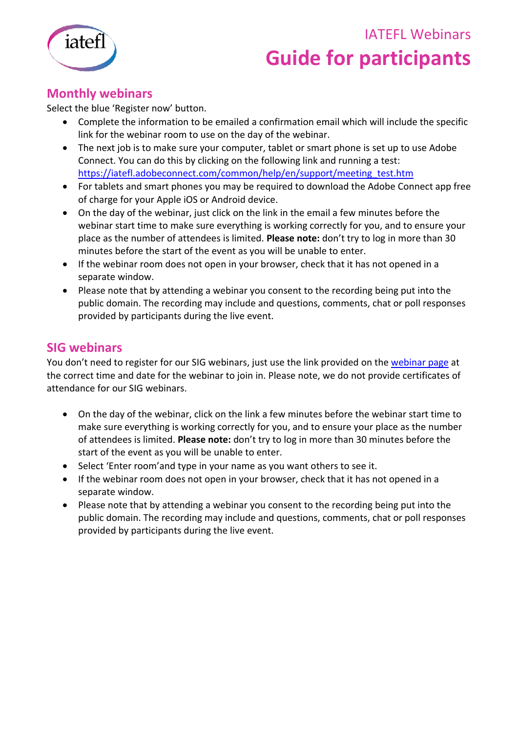### IATEFL Webinars



# **Guide for participants**

### **Monthly webinars**

Select the blue 'Register now' button.

- Complete the information to be emailed a confirmation email which will include the specific link for the webinar room to use on the day of the webinar.
- The next job is to make sure your computer, tablet or smart phone is set up to use Adobe Connect. You can do this by clicking on the following link and running a test: [https://iatefl.adobeconnect.com/common/help/en/support/meeting\\_test.htm](https://iatefl.adobeconnect.com/common/help/en/support/meeting_test.htm)
- For tablets and smart phones you may be required to download the Adobe Connect app free of charge for your Apple iOS or Android device.
- On the day of the webinar, just click on the link in the email a few minutes before the webinar start time to make sure everything is working correctly for you, and to ensure your place as the number of attendees is limited. **Please note:** don't try to log in more than 30 minutes before the start of the event as you will be unable to enter.
- If the webinar room does not open in your browser, check that it has not opened in a separate window.
- Please note that by attending a webinar you consent to the recording being put into the public domain. The recording may include and questions, comments, chat or poll responses provided by participants during the live event.

### **SIG webinars**

You don't need to register for our SIG webinars, just use the link provided on the [webinar page](http://www.iatefl.org/web-events/webinars) at the correct time and date for the webinar to join in. Please note, we do not provide certificates of attendance for our SIG webinars.

- On the day of the webinar, click on the link a few minutes before the webinar start time to make sure everything is working correctly for you, and to ensure your place as the number of attendees is limited. **Please note:** don't try to log in more than 30 minutes before the start of the event as you will be unable to enter.
- Select 'Enter room'and type in your name as you want others to see it.
- If the webinar room does not open in your browser, check that it has not opened in a separate window.
- Please note that by attending a webinar you consent to the recording being put into the public domain. The recording may include and questions, comments, chat or poll responses provided by participants during the live event.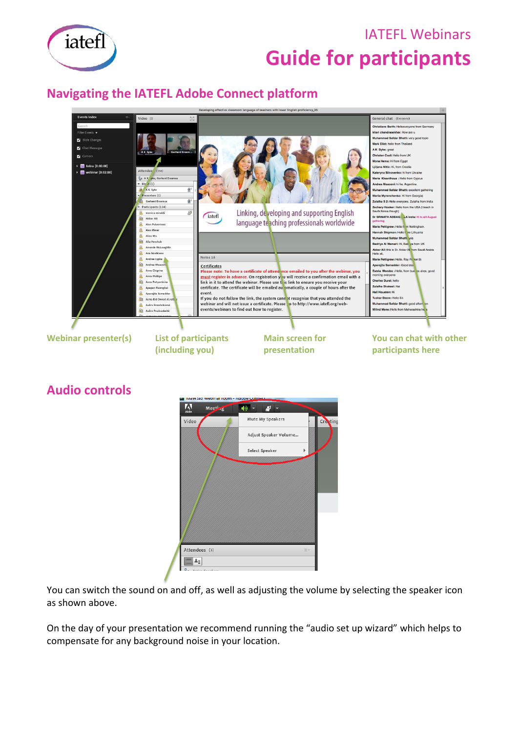

### IATEFL Webinars **Guide for participants**

### **Navigating the IATEFL Adobe Connect platform**



### **Audio controls**



You can switch the sound on and off, as well as adjusting the volume by selecting the speaker icon as shown above.

On the day of your presentation we recommend running the "audio set up wizard" which helps to compensate for any background noise in your location.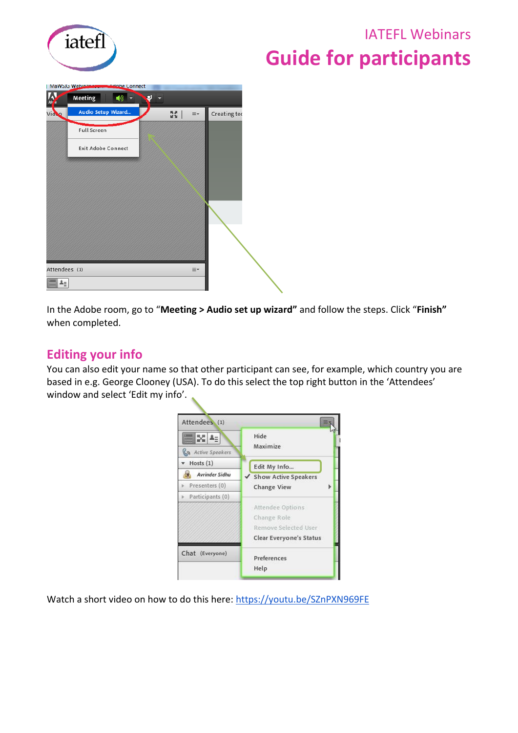

### IATEFL Webinars **Guide for participants**



In the Adobe room, go to "**Meeting > Audio set up wizard"** and follow the steps. Click "**Finish"**  when completed.

### **Editing your info**

You can also edit your name so that other participant can see, for example, which country you are based in e.g. George Clooney (USA). To do this select the top right button in the 'Attendees' window and select 'Edit my info'.

| Attendees (1)                        |                         |
|--------------------------------------|-------------------------|
| ×<br>ĿΞ<br><b>ไล</b> Active Speakers | Hide<br>Maximize        |
| Hosts(1)                             | Edit My Info            |
| Avrinder Sidhu                       | ✔ Show Active Speakers  |
| Presenters (0)                       | <b>Change View</b>      |
| Participants (0)                     |                         |
|                                      | Attendee Options        |
|                                      | Change Role             |
|                                      | Remove Selected User    |
|                                      | Clear Everyone's Status |
| Chat (Everyone)                      | Preferences             |
|                                      | Help                    |

Watch a short video on how to do this here:<https://youtu.be/SZnPXN969FE>